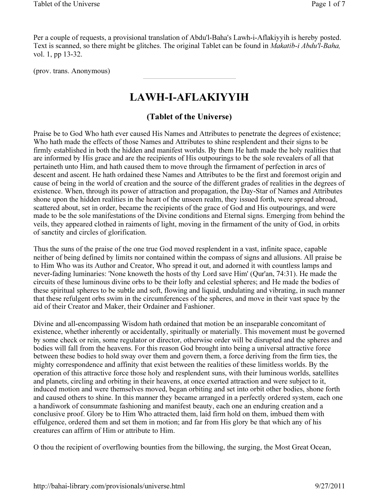Per a couple of requests, a provisional translation of Abdu'l-Baha's Lawh-i-Aflakiyyih is hereby posted. Text is scanned, so there might be glitches. The original Tablet can be found in Makatib-i Abdu'l-Baha, vol. 1, pp 13-32.

(prov. trans. Anonymous)

## LAWH-I-AFLAKIYYIH

## (Tablet of the Universe)

Praise be to God Who hath ever caused His Names and Attributes to penetrate the degrees of existence; Who hath made the effects of those Names and Attributes to shine resplendent and their signs to be firmly established in both the hidden and manifest worlds. By them He hath made the holy realities that are informed by His grace and are the recipients of His outpourings to be the sole revealers of all that pertaineth unto Him, and hath caused them to move through the firmament of perfection in arcs of descent and ascent. He hath ordained these Names and Attributes to be the first and foremost origin and cause of being in the world of creation and the source of the different grades of realities in the degrees of existence. When, through its power of attraction and propagation, the Day-Star of Names and Attributes shone upon the hidden realities in the heart of the unseen realm, they issued forth, were spread abroad, scattered about, set in order, became the recipients of the grace of God and His outpourings, and were made to be the sole manifestations of the Divine conditions and Eternal signs. Emerging from behind the veils, they appeared clothed in raiments of light, moving in the firmament of the unity of God, in orbits of sanctity and circles of glorification.

Thus the suns of the praise of the one true God moved resplendent in a vast, infinite space, capable neither of being defined by limits nor contained within the compass of signs and allusions. All praise be to Him Who was its Author and Creator, Who spread it out, and adorned it with countless lamps and never-fading luminaries: 'None knoweth the hosts of thy Lord save Him' (Qur'an, 74:31). He made the circuits of these luminous divine orbs to be their lofty and celestial spheres; and He made the bodies of these spiritual spheres to be subtle and soft, flowing and liquid, undulating and vibrating, in such manner that these refulgent orbs swim in the circumferences of the spheres, and move in their vast space by the aid of their Creator and Maker, their Ordainer and Fashioner.

Divine and all-encompassing Wisdom hath ordained that motion be an inseparable concomitant of existence, whether inherently or accidentally, spiritually or materially. This movement must be governed by some check or rein, some regulator or director, otherwise order will be disrupted and the spheres and bodies will fall from the heavens. For this reason God brought into being a universal attractive force between these bodies to hold sway over them and govern them, a force deriving from the firm ties, the mighty correspondence and affinity that exist between the realities of these limitless worlds. By the operation of this attractive force those holy and resplendent suns, with their luminous worlds, satellites and planets, circling and orbiting in their heavens, at once exerted attraction and were subject to it, induced motion and were themselves moved, began orbiting and set into orbit other bodies, shone forth and caused others to shine. In this manner they became arranged in a perfectly ordered system, each one a handiwork of consummate fashioning and manifest beauty, each one an enduring creation and a conclusive proof. Glory be to Him Who attracted them, laid firm hold on them, imbued them with effulgence, ordered them and set them in motion; and far from His glory be that which any of his creatures can affirm of Him or attribute to Him.

O thou the recipient of overflowing bounties from the billowing, the surging, the Most Great Ocean,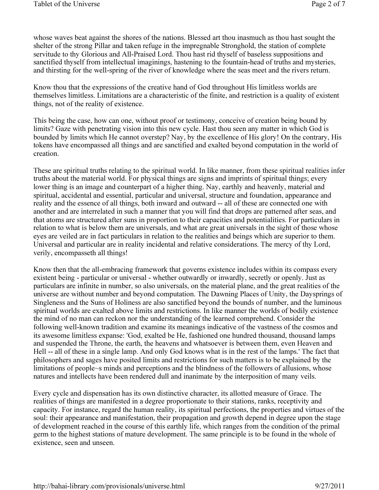whose waves beat against the shores of the nations. Blessed art thou inasmuch as thou hast sought the shelter of the strong Pillar and taken refuge in the impregnable Stronghold, the station of complete servitude to thy Glorious and All-Praised Lord. Thou hast rid thyself of baseless suppositions and sanctified thyself from intellectual imaginings, hastening to the fountain-head of truths and mysteries, and thirsting for the well-spring of the river of knowledge where the seas meet and the rivers return.

Know thou that the expressions of the creative hand of God throughout His limitless worlds are themselves limitless. Limitations are a characteristic of the finite, and restriction is a quality of existent things, not of the reality of existence.

This being the case, how can one, without proof or testimony, conceive of creation being bound by limits? Gaze with penetrating vision into this new cycle. Hast thou seen any matter in which God is bounded by limits which He cannot overstep? Nay, by the excellence of His glory! On the contrary, His tokens have encompassed all things and are sanctified and exalted beyond computation in the world of creation.

These are spiritual truths relating to the spiritual world. In like manner, from these spiritual realities infer truths about the material world. For physical things are signs and imprints of spiritual things; every lower thing is an image and counterpart of a higher thing. Nay, earthly and heavenly, material and spiritual, accidental and essential, particular and universal, structure and foundation, appearance and reality and the essence of all things, both inward and outward -- all of these are connected one with another and are interrelated in such a manner that you will find that drops are patterned after seas, and that atoms are structured after suns in proportion to their capacities and potentialities. For particulars in relation to what is below them are universals, and what are great universals in the sight of those whose eyes are veiled are in fact particulars in relation to the realities and beings which are superior to them. Universal and particular are in reality incidental and relative considerations. The mercy of thy Lord, verily, encompasseth all things!

Know then that the all-embracing framework that governs existence includes within its compass every existent being - particular or universal - whether outwardly or inwardly, secretly or openly. Just as particulars are infinite in number, so also universals, on the material plane, and the great realities of the universe are without number and beyond computation. The Dawning Places of Unity, the Daysprings of Singleness and the Suns of Holiness are also sanctified beyond the bounds of number, and the luminous spiritual worlds are exalted above limits and restrictions. In like manner the worlds of bodily existence the mind of no man can reckon nor the understanding of the learned comprehend. Consider the following well-known tradition and examine its meanings indicative of the vastness of the cosmos and its awesome limitless expanse: 'God, exalted be He, fashioned one hundred thousand, thousand lamps and suspended the Throne, the earth, the heavens and whatsoever is between them, even Heaven and Hell -- all of these in a single lamp. And only God knows what is in the rest of the lamps.' The fact that philosophers and sages have posited limits and restrictions for such matters is to be explained by the limitations of people~s minds and perceptions and the blindness of the followers of allusions, whose natures and intellects have been rendered dull and inanimate by the interposition of many veils.

Every cycle and dispensation has its own distinctive character, its allotted measure of Grace. The realities of things are manifested in a degree proportionate to their stations, ranks, receptivity and capacity. For instance, regard the human reality, its spiritual perfections, the properties and virtues of the soul: their appearance and manifestation, their propagation and growth depend in degree upon the stage of development reached in the course of this earthly life, which ranges from the condition of the primal germ to the highest stations of mature development. The same principle is to be found in the whole of existence, seen and unseen.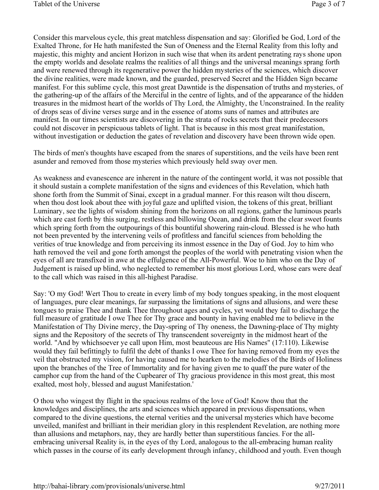Consider this marvelous cycle, this great matchless dispensation and say: Glorified be God, Lord of the Exalted Throne, for He hath manifested the Sun of Oneness and the Eternal Reality from this lofty and majestic, this mighty and ancient Horizon in such wise that when its ardent penetrating rays shone upon the empty worlds and desolate realms the realities of all things and the universal meanings sprang forth and were renewed through its regenerative power the hidden mysteries of the sciences, which discover the divine realities, were made known, and the guarded, preserved Secret and the Hidden Sign became manifest. For this sublime cycle, this most great Dawntide is the dispensation of truths and mysteries, of the gathering-up of the affairs of the Merciful in the centre of lights, and of the appearance of the hidden treasures in the midmost heart of the worlds of Thy Lord, the Almighty, the Unconstrained. In the reality of drops seas of divine verses surge and in the essence of atoms suns of names and attributes are manifest. In our times scientists are discovering in the strata of rocks secrets that their predecessors could not discover in perspicuous tablets of light. That is because in this most great manifestation, without investigation or deduction the gates of revelation and discovery have been thrown wide open.

The birds of men's thoughts have escaped from the snares of superstitions, and the veils have been rent asunder and removed from those mysteries which previously held sway over men.

As weakness and evanescence are inherent in the nature of the contingent world, it was not possible that it should sustain a complete manifestation of the signs and evidences of this Revelation, which hath shone forth from the Summit of Sinai, except in a gradual manner. For this reason wilt thou discern, when thou dost look about thee with joyful gaze and uplifted vision, the tokens of this great, brilliant Luminary, see the lights of wisdom shining from the horizons on all regions, gather the luminous pearls which are cast forth by this surging, restless and billowing Ocean, and drink from the clear sweet founts which spring forth from the outpourings of this bountiful showering rain-cloud. Blessed is he who hath not been prevented by the intervening veils of profitless and fanciful sciences from beholding the verities of true knowledge and from perceiving its inmost essence in the Day of God. Joy to him who hath removed the veil and gone forth amongst the peoples of the world with penetrating vision when the eyes of all are transfixed in awe at the effulgence of the All-Powerful. Woe to him who on the Day of Judgement is raised up blind, who neglected to remember his most glorious Lord, whose ears were deaf to the call which was raised in this all-highest Paradise.

Say: 'O my God! Wert Thou to create in every limb of my body tongues speaking, in the most eloquent of languages, pure clear meanings, far surpassing the limitations of signs and allusions, and were these tongues to praise Thee and thank Thee throughout ages and cycles, yet would they fail to discharge the full measure of gratitude I owe Thee for Thy grace and bounty in having enabled me to believe in the Manifestation of Thy Divine mercy, the Day-spring of Thy oneness, the Dawning-place of Thy mighty signs and the Repository of the secrets of Thy transcendent sovereignty in the midmost heart of the world. "And by whichsoever ye call upon Him, most beauteous are His Names" (17:110). Likewise would they fail befittingly to fulfil the debt of thanks I owe Thee for having removed from my eyes the veil that obstructed my vision, for having caused me to hearken to the melodies of the Birds of Holiness upon the branches of the Tree of Immortality and for having given me to quaff the pure water of the camphor cup from the hand of the Cupbearer of Thy gracious providence in this most great, this most exalted, most holy, blessed and august Manifestation.'

O thou who wingest thy flight in the spacious realms of the love of God! Know thou that the knowledges and disciplines, the arts and sciences which appeared in previous dispensations, when compared to the divine questions, the eternal verities and the universal mysteries which have become unveiled, manifest and brilliant in their meridian glory in this resplendent Revelation, are nothing more than allusions and metaphors, nay, they are hardly better than superstitious fancies. For the allembracing universal Reality is, in the eyes of thy Lord, analogous to the all-embracing human reality which passes in the course of its early development through infancy, childhood and youth. Even though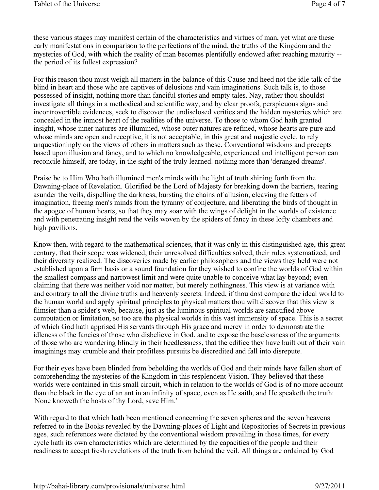these various stages may manifest certain of the characteristics and virtues of man, yet what are these early manifestations in comparison to the perfections of the mind, the truths of the Kingdom and the mysteries of God, with which the reality of man becomes plentifully endowed after reaching maturity - the period of its fullest expression?

For this reason thou must weigh all matters in the balance of this Cause and heed not the idle talk of the blind in heart and those who are captives of delusions and vain imaginations. Such talk is, to those possessed of insight, nothing more than fanciful stories and empty tales. Nay, rather thou shouldst investigate all things in a methodical and scientific way, and by clear proofs, perspicuous signs and incontrovertible evidences, seek to discover the undisclosed verities and the hidden mysteries which are concealed in the inmost heart of the realities of the universe. To those to whom God hath granted insight, whose inner natures are illumined, whose outer natures are refined, whose hearts are pure and whose minds are open and receptive, it is not acceptable, in this great and majestic cycle, to rely unquestioningly on the views of others in matters such as these. Conventional wisdoms and precepts based upon illusion and fancy, and to which no knowledgeable, experienced and intelligent person can reconcile himself, are today, in the sight of the truly learned. nothing more than 'deranged dreams'.

Praise be to Him Who hath illumined men's minds with the light of truth shining forth from the Dawning-place of Revelation. Glorified be the Lord of Majesty for breaking down the barriers, tearing asunder the veils, dispelling the darkness, bursting the chains of allusion, cleaving the fetters of imagination, freeing men's minds from the tyranny of conjecture, and liberating the birds of thought in the apogee of human hearts, so that they may soar with the wings of delight in the worlds of existence and with penetrating insight rend the veils woven by the spiders of fancy in these lofty chambers and high pavilions.

Know then, with regard to the mathematical sciences, that it was only in this distinguished age, this great century, that their scope was widened, their unresolved difficulties solved, their rules systematized, and their diversity realized. The discoveries made by earlier philosophers and the views they held were not established upon a firm basis or a sound foundation for they wished to confine the worlds of God within the smallest compass and narrowest limit and were quite unable to conceive what lay beyond; even claiming that there was neither void nor matter, but merely nothingness. This view is at variance with and contrary to all the divine truths and heavenly secrets. Indeed, if thou dost compare the ideal world to the human world and apply spiritual principles to physical matters thou wilt discover that this view is flimsier than a spider's web, because, just as the luminous spiritual worlds are sanctified above computation or limitation, so too are the physical worlds in this vast immensity of space. This is a secret of which God hath apprised His servants through His grace and mercy in order to demonstrate the idleness of the fancies of those who disbelieve in God, and to expose the baselessness of the arguments of those who are wandering blindly in their heedlessness, that the edifice they have built out of their vain imaginings may crumble and their profitless pursuits be discredited and fall into disrepute.

For their eyes have been blinded from beholding the worlds of God and their minds have fallen short of comprehending the mysteries of the Kingdom in this resplendent Vision. They believed that these worlds were contained in this small circuit, which in relation to the worlds of God is of no more account than the black in the eye of an ant in an infinity of space, even as He saith, and He speaketh the truth: 'None knoweth the hosts of thy Lord, save Him.'

With regard to that which hath been mentioned concerning the seven spheres and the seven heavens referred to in the Books revealed by the Dawning-places of Light and Repositories of Secrets in previous ages, such references were dictated by the conventional wisdom prevailing in those times, for every cycle hath its own characteristics which are determined by the capacities of the people and their readiness to accept fresh revelations of the truth from behind the veil. All things are ordained by God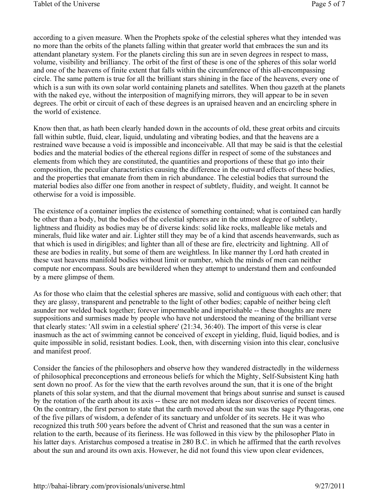according to a given measure. When the Prophets spoke of the celestial spheres what they intended was no more than the orbits of the planets falling within that greater world that embraces the sun and its attendant planetary system. For the planets circling this sun are in seven degrees in respect to mass, volume, visibility and brilliancy. The orbit of the first of these is one of the spheres of this solar world and one of the heavens of finite extent that falls within the circumference of this all-encompassing circle. The same pattern is true for all the brilliant stars shining in the face of the heavens, every one of which is a sun with its own solar world containing planets and satellites. When thou gazeth at the planets with the naked eye, without the interposition of magnifying mirrors, they will appear to be in seven degrees. The orbit or circuit of each of these degrees is an upraised heaven and an encircling sphere in the world of existence.

Know then that, as hath been clearly handed down in the accounts of old, these great orbits and circuits fall within subtle, fluid, clear, liquid, undulating and vibrating bodies, and that the heavens are a restrained wave because a void is impossible and inconceivable. All that may be said is that the celestial bodies and the material bodies of the ethereal regions differ in respect of some of the substances and elements from which they are constituted, the quantities and proportions of these that go into their composition, the peculiar characteristics causing the difference in the outward effects of these bodies, and the properties that emanate from them in rich abundance. The celestial bodies that surround the material bodies also differ one from another in respect of subtlety, fluidity, and weight. It cannot be otherwise for a void is impossible.

The existence of a container implies the existence of something contained; what is contained can hardly be other than a body, but the bodies of the celestial spheres are in the utmost degree of subtlety, lightness and fluidity as bodies may be of diverse kinds: solid like rocks, malleable like metals and minerals, fluid like water and air. Lighter still they may be of a kind that ascends heavenwards, such as that which is used in dirigibles; and lighter than all of these are fire, electricity and lightning. All of these are bodies in reality, but some of them are weightless. In like manner thy Lord hath created in these vast heavens manifold bodies without limit or number, which the minds of men can neither compute nor encompass. Souls are bewildered when they attempt to understand them and confounded by a mere glimpse of them.

As for those who claim that the celestial spheres are massive, solid and contiguous with each other; that they are glassy, transparent and penetrable to the light of other bodies; capable of neither being cleft asunder nor welded back together; forever impermeable and imperishable -- these thoughts are mere suppositions and surmises made by people who have not understood the meaning of the brilliant verse that clearly states: 'All swim in a celestial sphere' (21:34, 36:40). The import of this verse is clear inasmuch as the act of swimming cannot be conceived of except in yielding, fluid, liquid bodies, and is quite impossible in solid, resistant bodies. Look, then, with discerning vision into this clear, conclusive and manifest proof.

Consider the fancies of the philosophers and observe how they wandered distractedly in the wilderness of philosophical preconceptions and erroneous beliefs for which the Mighty, Self-Subsistent King hath sent down no proof. As for the view that the earth revolves around the sun, that it is one of the bright planets of this solar system, and that the diurnal movement that brings about sunrise and sunset is caused by the rotation of the earth about its axis -- these are not modern ideas nor discoveries of recent times. On the contrary, the first person to state that the earth moved about the sun was the sage Pythagoras, one of the five pillars of wisdom, a defender of its sanctuary and unfolder of its secrets. He it was who recognized this truth 500 years before the advent of Christ and reasoned that the sun was a center in relation to the earth, because of its fieriness. He was followed in this view by the philosopher Plato in his latter days. Aristarchus composed a treatise in 280 B.C. in which he affirmed that the earth revolves about the sun and around its own axis. However, he did not found this view upon clear evidences,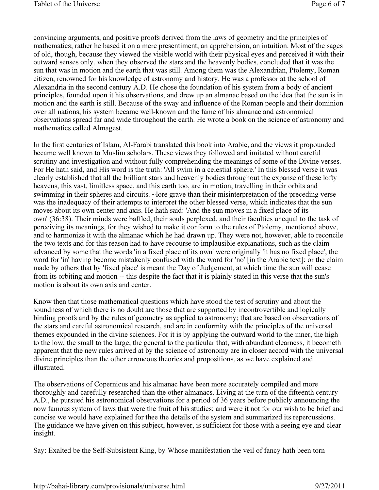convincing arguments, and positive proofs derived from the laws of geometry and the principles of mathematics; rather he based it on a mere presentiment, an apprehension, an intuition. Most of the sages of old, though, because they viewed the visible world with their physical eyes and perceived it with their outward senses only, when they observed the stars and the heavenly bodies, concluded that it was the sun that was in motion and the earth that was still. Among them was the Alexandrian, Ptolemy, Roman citizen, renowned for his knowledge of astronomy and history. He was a professor at the school of Alexandria in the second century A.D. He chose the foundation of his system from a body of ancient principles, founded upon it his observations, and drew up an almanac based on the idea that the sun is in motion and the earth is still. Because of the sway and influence of the Roman people and their dominion over all nations, his system became well-known and the fame of his almanac and astronomical observations spread far and wide throughout the earth. He wrote a book on the science of astronomy and mathematics called Almagest.

In the first centuries of Islam, Al-Farabi translated this book into Arabic, and the views it propounded became well known to Muslim scholars. These views they followed and imitated without careful scrutiny and investigation and without fully comprehending the meanings of some of the Divine verses. For He hath said, and His word is the truth: 'All swim in a celestial sphere.' In this blessed verse it was clearly established that all the brilliant stars and heavenly bodies throughout the expanse of these lofty heavens, this vast, limitless space, and this earth too, are in motion, travelling in their orbits and swimming in their spheres and circuits. ~lore grave than their misinterpretation of the preceding verse was the inadequacy of their attempts to interpret the other blessed verse, which indicates that the sun moves about its own center and axis. He hath said: 'And the sun moves in a fixed place of its own' (36:38). Their minds were baffled, their souls perplexed, and their faculties unequal to the task of perceiving its meanings, for they wished to make it conform to the rules of Ptolemy, mentioned above, and to harmonize it with the almanac which he had drawn up. They were not, however, able to reconcile the two texts and for this reason had to have recourse to implausible explanations, such as the claim advanced by some that the words 'in a fixed place of its own' were originally 'it has no fixed place', the word for 'in' having become mistakenly confused with the word for 'no' [in the Arabic text]; or the claim made by others that by 'fixed place' is meant the Day of Judgement, at which time the sun will cease from its orbiting and motion -- this despite the fact that it is plainly stated in this verse that the sun's motion is about its own axis and center.

Know then that those mathematical questions which have stood the test of scrutiny and about the soundness of which there is no doubt are those that are supported by incontrovertible and logically binding proofs and by the rules of geometry as applied to astronomy; that are based on observations of the stars and careful astronomical research, and are in conformity with the principles of the universal themes expounded in the divine sciences. For it is by applying the outward world to the inner, the high to the low, the small to the large, the general to the particular that, with abundant clearness, it becometh apparent that the new rules arrived at by the science of astronomy are in closer accord with the universal divine principles than the other erroneous theories and propositions, as we have explained and illustrated.

The observations of Copernicus and his almanac have been more accurately compiled and more thoroughly and carefully researched than the other almanacs. Living at the turn of the fifteenth century A.D., he pursued his astronomical observations for a period of 36 years before publicly announcing the now famous system of laws that were the fruit of his studies; and were it not for our wish to be brief and concise we would have explained for thee the details of the system and summarized its repercussions. The guidance we have given on this subject, however, is sufficient for those with a seeing eye and clear insight.

Say: Exalted be the Self-Subsistent King, by Whose manifestation the veil of fancy hath been torn